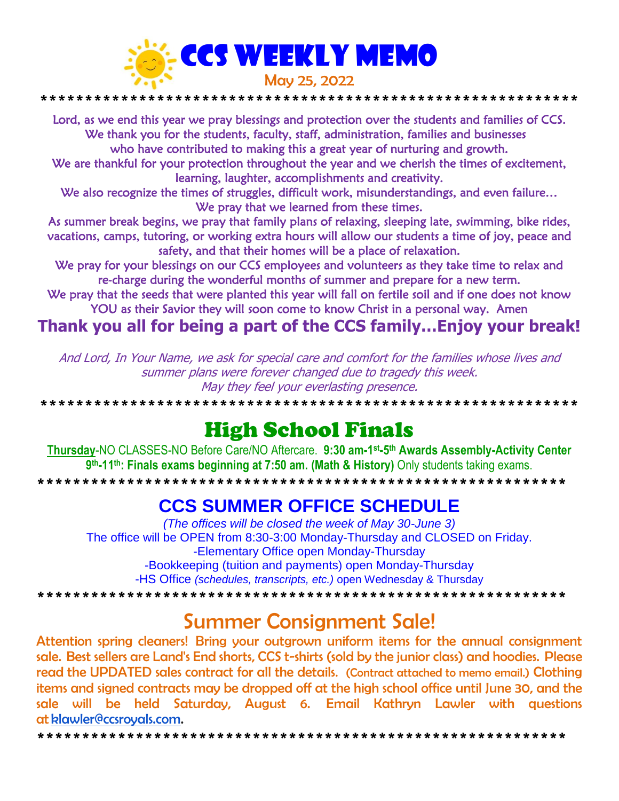

Lord, as we end this year we pray blessings and protection over the students and families of CCS. We thank you for the students, faculty, staff, administration, families and businesses who have contributed to making this a great year of nurturing and growth.

We are thankful for your protection throughout the year and we cherish the times of excitement, learning, laughter, accomplishments and creativity.

We also recognize the times of struggles, difficult work, misunderstandings, and even failure... We pray that we learned from these times.

As summer break begins, we pray that family plans of relaxing, sleeping late, swimming, bike rides, vacations, camps, tutoring, or working extra hours will allow our students a time of joy, peace and safety, and that their homes will be a place of relaxation.

We pray for your blessings on our CCS employees and volunteers as they take time to relax and re-charge during the wonderful months of summer and prepare for a new term.

We pray that the seeds that were planted this year will fall on fertile soil and if one does not know YOU as their Savior they will soon come to know Christ in a personal way. Amen

### Thank you all for being a part of the CCS family...Enjoy your break!

And Lord, In Your Name, we ask for special care and comfort for the families whose lives and summer plans were forever changed due to tragedy this week. May they feel your everlasting presence.

# **High School Finals**

Thursday-NO CLASSES-NO Before Care/NO Aftercare. 9:30 am-1<sup>st</sup>-5<sup>th</sup> Awards Assembly-Activity Center 9th-11th: Finals exams beginning at 7:50 am. (Math & History) Only students taking exams. 

### **CCS SUMMER OFFICE SCHEDULE**

(The offices will be closed the week of May 30-June 3) The office will be OPEN from 8:30-3:00 Monday-Thursday and CLOSED on Friday. -Elementary Office open Monday-Thursday -Bookkeeping (tuition and payments) open Monday-Thursday -HS Office (schedules, transcripts, etc.) open Wednesday & Thursday 

## **Summer Consignment Sale!**

Attention spring cleaners! Bring your outgrown uniform items for the annual consignment sale. Best sellers are Land's End shorts, CCS t-shirts (sold by the junior class) and hoodies. Please read the UPDATED sales contract for all the details. (Contract attached to memo email.) Clothing items and signed contracts may be dropped off at the high school office until June 30, and the sale will be held Saturday, August 6. Email Kathryn Lawler with questions at klawler@ccsrovals.com.